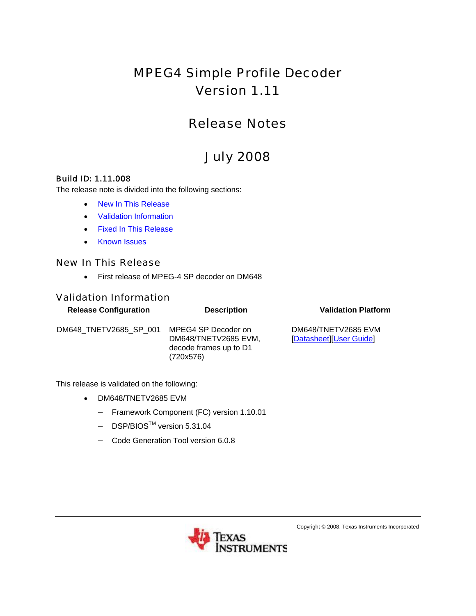# MPEG4 Simple Profile Decoder Version 1.11

## Release Notes

# July 2008

#### Build ID: 1.11.008

The release note is divided into the following sections:

- [New In This Release](#page-0-0)
- [Validation Information](#page-0-1)
- [Fixed In This Release](#page-1-0)
- [Known Issues](#page-1-1)

#### <span id="page-0-0"></span>New In This Release

• First release of MPEG-4 SP decoder on DM648

#### <span id="page-0-1"></span>Validation Information

| <b>Release Configuration</b> | <b>Description</b>                                                                 | <b>Validation Platform</b>                     |
|------------------------------|------------------------------------------------------------------------------------|------------------------------------------------|
| DM648 TNETV2685 SP 001       | MPEG4 SP Decoder on<br>DM648/TNETV2685 EVM,<br>decode frames up to D1<br>(720x576) | DM648/TNETV2685 EVM<br>[Datasheet][User Guide] |

This release is validated on the following:

- DM648/TNETV2685 EVM
	- − Framework Component (FC) version 1.10.01
	- − DSP/BIOSTM version 5.31.04
	- − Code Generation Tool version 6.0.8